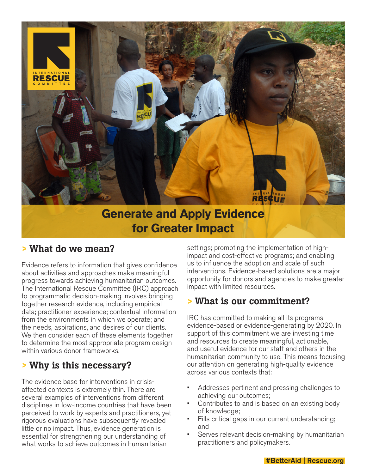

# **for Greater Impact**

#### **>** What do we mean?

Evidence refers to information that gives confidence about activities and approaches make meaningful progress towards achieving humanitarian outcomes. The International Rescue Committee (IRC) approach to programmatic decision-making involves bringing together research evidence, including empirical data; practitioner experience; contextual information from the environments in which we operate; and the needs, aspirations, and desires of our clients. We then consider each of these elements together to determine the most appropriate program design within various donor frameworks.

## **>** Why is this necessary?

The evidence base for interventions in crisisaffected contexts is extremely thin. There are several examples of interventions from different disciplines in low-income countries that have been perceived to work by experts and practitioners, yet rigorous evaluations have subsequently revealed little or no impact. Thus, evidence generation is essential for strengthening our understanding of what works to achieve outcomes in humanitarian

settings; promoting the implementation of highimpact and cost-effective programs; and enabling us to influence the adoption and scale of such interventions. Evidence-based solutions are a major opportunity for donors and agencies to make greater impact with limited resources.

#### **>** What is our commitment?

IRC has committed to making all its programs evidence-based or evidence-generating by 2020. In support of this commitment we are investing time and resources to create meaningful, actionable, and useful evidence for our staff and others in the humanitarian community to use. This means focusing our attention on generating high-quality evidence across various contexts that:

- Addresses pertinent and pressing challenges to achieving our outcomes;
- Contributes to and is based on an existing body of knowledge;
- Fills critical gaps in our current understanding; and
- Serves relevant decision-making by humanitarian practitioners and policymakers.